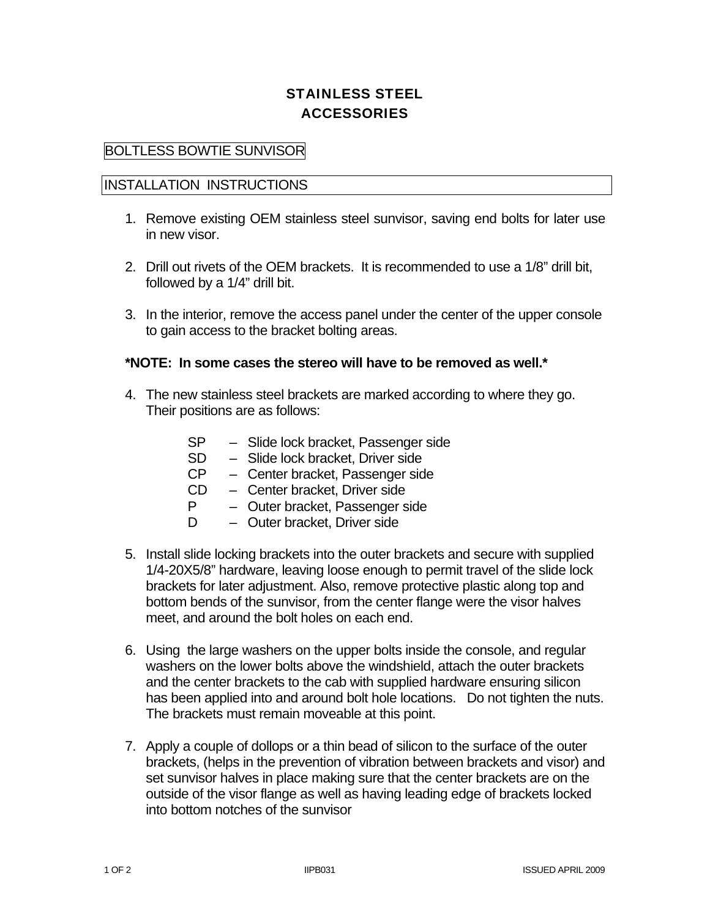## STAINLESS STEEL ACCESSORIES

## BOLTLESS BOWTIE SUNVISOR

## INSTALLATION INSTRUCTIONS

- 1. Remove existing OEM stainless steel sunvisor, saving end bolts for later use in new visor.
- 2. Drill out rivets of the OEM brackets. It is recommended to use a 1/8" drill bit, followed by a 1/4" drill bit.
- 3. In the interior, remove the access panel under the center of the upper console to gain access to the bracket bolting areas.

## **\*NOTE: In some cases the stereo will have to be removed as well.\***

- 4. The new stainless steel brackets are marked according to where they go. Their positions are as follows:
	- SP Slide lock bracket, Passenger side
	- SD Slide lock bracket, Driver side
	- CP Center bracket, Passenger side
	- CD Center bracket, Driver side
	- P Outer bracket, Passenger side
	- D Outer bracket, Driver side
- 5. Install slide locking brackets into the outer brackets and secure with supplied 1/4-20X5/8" hardware, leaving loose enough to permit travel of the slide lock brackets for later adjustment. Also, remove protective plastic along top and bottom bends of the sunvisor, from the center flange were the visor halves meet, and around the bolt holes on each end.
- 6. Using the large washers on the upper bolts inside the console, and regular washers on the lower bolts above the windshield, attach the outer brackets and the center brackets to the cab with supplied hardware ensuring silicon has been applied into and around bolt hole locations. Do not tighten the nuts. The brackets must remain moveable at this point.
- 7. Apply a couple of dollops or a thin bead of silicon to the surface of the outer brackets, (helps in the prevention of vibration between brackets and visor) and set sunvisor halves in place making sure that the center brackets are on the outside of the visor flange as well as having leading edge of brackets locked into bottom notches of the sunvisor